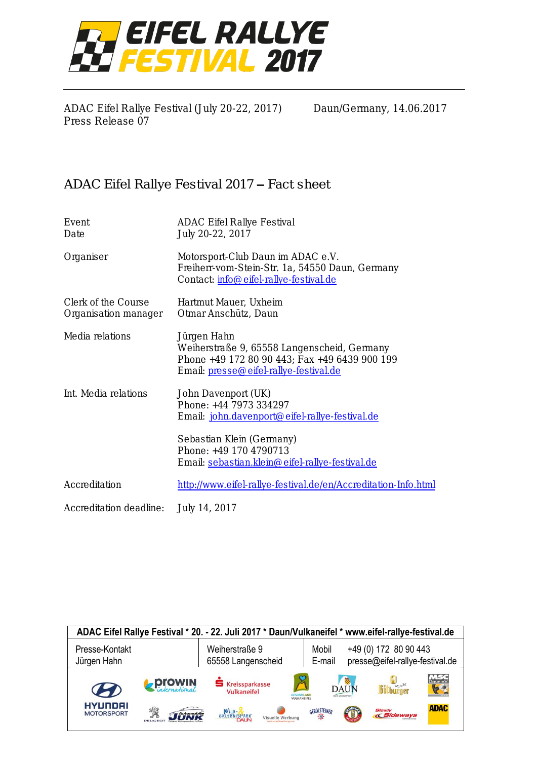

ADAC Eifel Rallye Festival (July 20-22, 2017) Daun/Germany, 14.06.2017 Press Release 07

## ADAC Eifel Rallye Festival 2017 – Fact sheet

| Event<br>Date                               | <b>ADAC Eifel Rallye Festival</b><br>July 20-22, 2017                                                                                                 |  |
|---------------------------------------------|-------------------------------------------------------------------------------------------------------------------------------------------------------|--|
| Organiser                                   | Motorsport-Club Daun im ADAC e.V.<br>Freiherr-vom-Stein-Str. 1a, 54550 Daun, Germany<br>Contact: info@eifel-rallye-festival.de                        |  |
| Clerk of the Course<br>Organisation manager | Hartmut Mauer, Uxheim<br>Otmar Anschütz, Daun                                                                                                         |  |
| Media relations                             | Jürgen Hahn<br>Weiherstraße 9, 65558 Langenscheid, Germany<br>Phone +49 172 80 90 443; Fax +49 6439 900 199<br>Email: presse@eifel-rallye-festival.de |  |
| Int. Media relations                        | John Davenport (UK)<br>Phone: +44 7973 334297<br>Email: john.davenport@eifel-rallye-festival.de                                                       |  |
|                                             | Sebastian Klein (Germany)<br>Phone: +49 170 4790713<br>Email: sebastian.klein@eifel-rallye-festival.de                                                |  |
| Accreditation                               | http://www.eifel-rallye-festival.de/en/Accreditation-Info.html                                                                                        |  |
| Accreditation deadline:                     | July 14, 2017                                                                                                                                         |  |